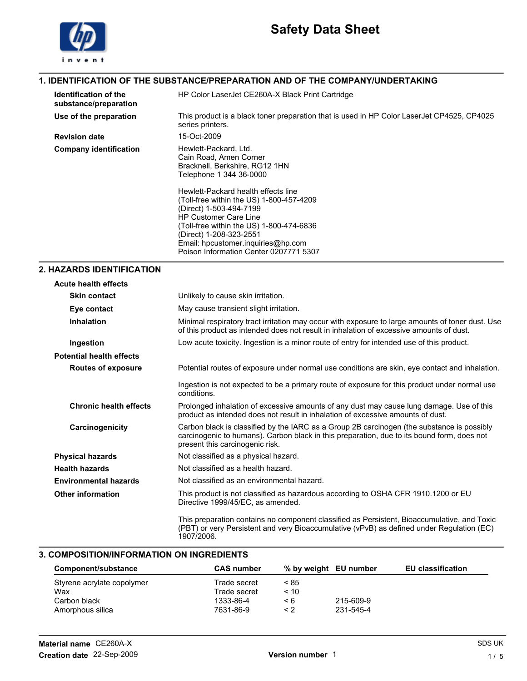

### 1. IDENTIFICATION OF THE SUBSTANCE/PREPARATION AND OF THE COMPANY/UNDERTAKING

| <b>Identification of the</b><br>substance/preparation | HP Color LaserJet CE260A-X Black Print Cartridge                                                                                                                                                                                                                                                                                                                                                                  |
|-------------------------------------------------------|-------------------------------------------------------------------------------------------------------------------------------------------------------------------------------------------------------------------------------------------------------------------------------------------------------------------------------------------------------------------------------------------------------------------|
| Use of the preparation                                | This product is a black toner preparation that is used in HP Color LaserJet CP4525, CP4025<br>series printers.                                                                                                                                                                                                                                                                                                    |
| <b>Revision date</b>                                  | 15-Oct-2009                                                                                                                                                                                                                                                                                                                                                                                                       |
| <b>Company identification</b>                         | Hewlett-Packard, Ltd.<br>Cain Road, Amen Corner<br>Bracknell, Berkshire, RG12 1HN<br>Telephone 1 344 36-0000<br>Hewlett-Packard health effects line<br>(Toll-free within the US) 1-800-457-4209<br>(Direct) 1-503-494-7199<br><b>HP Customer Care Line</b><br>(Toll-free within the US) 1-800-474-6836<br>(Direct) 1-208-323-2551<br>Email: hpcustomer.inquiries@hp.com<br>Poison Information Center 0207771 5307 |

## 2. HAZARDS IDENTIFICATION

| <b>Acute health effects</b>     |                                                                                                                                                                                                                             |
|---------------------------------|-----------------------------------------------------------------------------------------------------------------------------------------------------------------------------------------------------------------------------|
| <b>Skin contact</b>             | Unlikely to cause skin irritation.                                                                                                                                                                                          |
| Eye contact                     | May cause transient slight irritation.                                                                                                                                                                                      |
| <b>Inhalation</b>               | Minimal respiratory tract irritation may occur with exposure to large amounts of toner dust. Use<br>of this product as intended does not result in inhalation of excessive amounts of dust.                                 |
| Ingestion                       | Low acute toxicity. Ingestion is a minor route of entry for intended use of this product.                                                                                                                                   |
| <b>Potential health effects</b> |                                                                                                                                                                                                                             |
| <b>Routes of exposure</b>       | Potential routes of exposure under normal use conditions are skin, eye contact and inhalation.                                                                                                                              |
|                                 | Ingestion is not expected to be a primary route of exposure for this product under normal use<br>conditions.                                                                                                                |
| <b>Chronic health effects</b>   | Prolonged inhalation of excessive amounts of any dust may cause lung damage. Use of this<br>product as intended does not result in inhalation of excessive amounts of dust.                                                 |
| Carcinogenicity                 | Carbon black is classified by the IARC as a Group 2B carcinogen (the substance is possibly<br>carcinogenic to humans). Carbon black in this preparation, due to its bound form, does not<br>present this carcinogenic risk. |
| <b>Physical hazards</b>         | Not classified as a physical hazard.                                                                                                                                                                                        |
| <b>Health hazards</b>           | Not classified as a health hazard.                                                                                                                                                                                          |
| <b>Environmental hazards</b>    | Not classified as an environmental hazard.                                                                                                                                                                                  |
| <b>Other information</b>        | This product is not classified as hazardous according to OSHA CFR 1910.1200 or EU<br>Directive 1999/45/EC, as amended.                                                                                                      |
|                                 | This preparation contains no component classified as Persistent, Bioaccumulative, and Toxic<br>(PBT) or very Persistent and very Bioaccumulative (vPvB) as defined under Regulation (EC)<br>1907/2006.                      |

### 3. COMPOSITION/INFORMATION ON INGREDIENTS

| Component/substance        | <b>CAS number</b> |      | % by weight EU number | <b>EU classification</b> |
|----------------------------|-------------------|------|-----------------------|--------------------------|
| Styrene acrylate copolymer | Trade secret      | < 85 |                       |                          |
| Wax                        | Trade secret      | < 10 |                       |                          |
| Carbon black               | 1333-86-4         | < 6  | 215-609-9             |                          |
| Amorphous silica           | 7631-86-9         | < 2  | 231-545-4             |                          |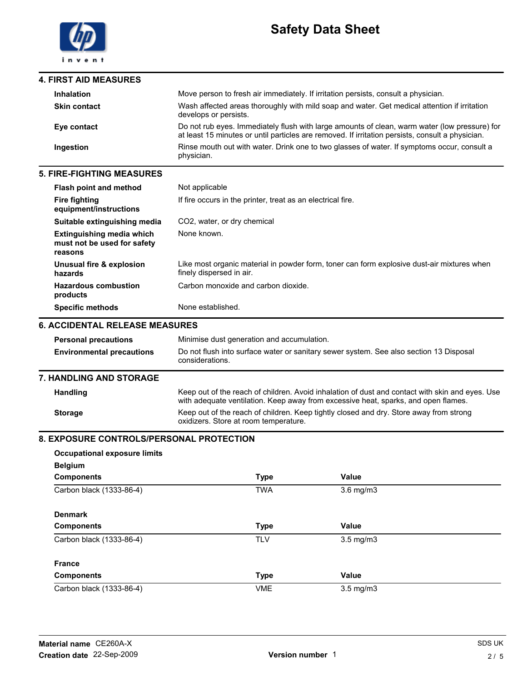

| <b>4. FIRST AID MEASURES</b> |                                                                                                                                                                                                   |
|------------------------------|---------------------------------------------------------------------------------------------------------------------------------------------------------------------------------------------------|
| <b>Inhalation</b>            | Move person to fresh air immediately. If irritation persists, consult a physician.                                                                                                                |
| <b>Skin contact</b>          | Wash affected areas thoroughly with mild soap and water. Get medical attention if irritation<br>develops or persists.                                                                             |
| Eye contact                  | Do not rub eyes. Immediately flush with large amounts of clean, warm water (low pressure) for<br>at least 15 minutes or until particles are removed. If irritation persists, consult a physician. |
| Ingestion                    | Rinse mouth out with water. Drink one to two glasses of water. If symptoms occur, consult a<br>physician.                                                                                         |

#### 5. FIRE-FIGHTING MEASURES

| <b>Flash point and method</b>                                              | Not applicable                                                                                                         |
|----------------------------------------------------------------------------|------------------------------------------------------------------------------------------------------------------------|
| <b>Fire fighting</b><br>equipment/instructions                             | If fire occurs in the printer, treat as an electrical fire.                                                            |
| Suitable extinguishing media                                               | CO <sub>2</sub> , water, or dry chemical                                                                               |
| <b>Extinguishing media which</b><br>must not be used for safety<br>reasons | None known.                                                                                                            |
| Unusual fire & explosion<br>hazards                                        | Like most organic material in powder form, toner can form explosive dust-air mixtures when<br>finely dispersed in air. |
| <b>Hazardous combustion</b><br>products                                    | Carbon monoxide and carbon dioxide.                                                                                    |
| <b>Specific methods</b>                                                    | None established.                                                                                                      |
| 6. ACCIDENTAL RELEASE MEASURES                                             |                                                                                                                        |
| <b>Personal precautions</b>                                                | Minimise dust generation and accumulation.                                                                             |
| <b>Environmental precautions</b>                                           | Do not flush into surface water or sanitary sewer system. See also section 13 Disposal<br>considerations.              |

#### 7. HANDLING AND STORAGE

| <b>Handling</b> | Keep out of the reach of children. Avoid inhalation of dust and contact with skin and eyes. Use<br>with adequate ventilation. Keep away from excessive heat, sparks, and open flames. |
|-----------------|---------------------------------------------------------------------------------------------------------------------------------------------------------------------------------------|
| <b>Storage</b>  | Keep out of the reach of children. Keep tightly closed and dry. Store away from strong<br>oxidizers. Store at room temperature.                                                       |

### 8. EXPOSURE CONTROLS/PERSONAL PROTECTION

| <b>Occupational exposure limits</b> |             |                |  |
|-------------------------------------|-------------|----------------|--|
| <b>Belgium</b>                      |             |                |  |
| <b>Components</b>                   | <b>Type</b> | Value          |  |
| Carbon black (1333-86-4)            | <b>TWA</b>  | $3.6$ mg/m $3$ |  |
| <b>Denmark</b>                      |             |                |  |
| <b>Components</b>                   | <b>Type</b> | Value          |  |
| Carbon black (1333-86-4)            | <b>TLV</b>  | $3.5$ mg/m $3$ |  |
| <b>France</b>                       |             |                |  |
| <b>Components</b>                   | <b>Type</b> | Value          |  |
| Carbon black (1333-86-4)            | <b>VME</b>  | $3.5$ mg/m $3$ |  |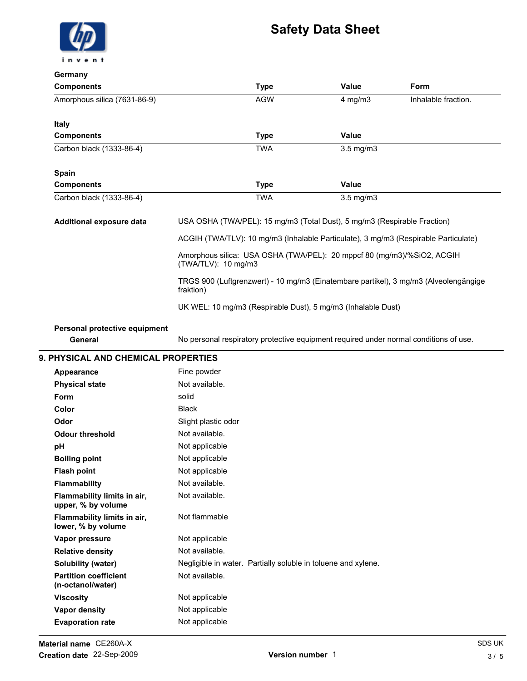## Safety Data Sheet



#### Germany

| ochilaliy                                         |                                                                                                   |                |                     |
|---------------------------------------------------|---------------------------------------------------------------------------------------------------|----------------|---------------------|
| <b>Components</b>                                 | <b>Type</b>                                                                                       | Value          | Form                |
| Amorphous silica (7631-86-9)                      | <b>AGW</b>                                                                                        | $4$ mg/m $3$   | Inhalable fraction. |
| <b>Italy</b>                                      |                                                                                                   |                |                     |
| <b>Components</b>                                 | <b>Type</b>                                                                                       | <b>Value</b>   |                     |
| Carbon black (1333-86-4)                          | <b>TWA</b>                                                                                        | $3.5$ mg/m $3$ |                     |
| <b>Spain</b>                                      |                                                                                                   |                |                     |
| <b>Components</b>                                 | <b>Type</b>                                                                                       | <b>Value</b>   |                     |
| Carbon black (1333-86-4)                          | <b>TWA</b>                                                                                        | $3.5$ mg/m $3$ |                     |
| Additional exposure data                          | USA OSHA (TWA/PEL): 15 mg/m3 (Total Dust), 5 mg/m3 (Respirable Fraction)                          |                |                     |
|                                                   | ACGIH (TWA/TLV): 10 mg/m3 (Inhalable Particulate), 3 mg/m3 (Respirable Particulate)               |                |                     |
|                                                   | Amorphous silica: USA OSHA (TWA/PEL): 20 mppcf 80 (mg/m3)/%SiO2, ACGIH<br>(TWA/TLV): 10 mg/m3     |                |                     |
|                                                   | TRGS 900 (Luftgrenzwert) - 10 mg/m3 (Einatembare partikel), 3 mg/m3 (Alveolengängige<br>fraktion) |                |                     |
|                                                   | UK WEL: 10 mg/m3 (Respirable Dust), 5 mg/m3 (Inhalable Dust)                                      |                |                     |
| Personal protective equipment<br>General          | No personal respiratory protective equipment required under normal conditions of use.             |                |                     |
| <b>9. PHYSICAL AND CHEMICAL PROPERTIES</b>        |                                                                                                   |                |                     |
| <b>Appearance</b>                                 | Fine powder                                                                                       |                |                     |
| <b>Physical state</b>                             | Not available.                                                                                    |                |                     |
| Form                                              | solid                                                                                             |                |                     |
| Color                                             | <b>Black</b>                                                                                      |                |                     |
| Odor                                              | Slight plastic odor                                                                               |                |                     |
| <b>Odour threshold</b>                            | Not available.                                                                                    |                |                     |
| рH                                                | Not applicable                                                                                    |                |                     |
| <b>Boiling point</b>                              | Not applicable                                                                                    |                |                     |
| <b>Flash point</b>                                | Not applicable                                                                                    |                |                     |
| <b>Flammability</b>                               | Not available.                                                                                    |                |                     |
| Flammability limits in air,<br>upper, % by volume | Not available.                                                                                    |                |                     |
| Flammability limits in air,<br>lower, % by volume | Not flammable                                                                                     |                |                     |
| Vapor pressure                                    | Not applicable                                                                                    |                |                     |
| <b>Relative density</b>                           | Not available.                                                                                    |                |                     |
| <b>Solubility (water)</b>                         | Negligible in water. Partially soluble in toluene and xylene.                                     |                |                     |
| <b>Partition coefficient</b><br>(n-octanol/water) | Not available.                                                                                    |                |                     |
| <b>Viscosity</b>                                  | Not applicable                                                                                    |                |                     |

Vapor density **Not applicable** Evaporation rate Not applicable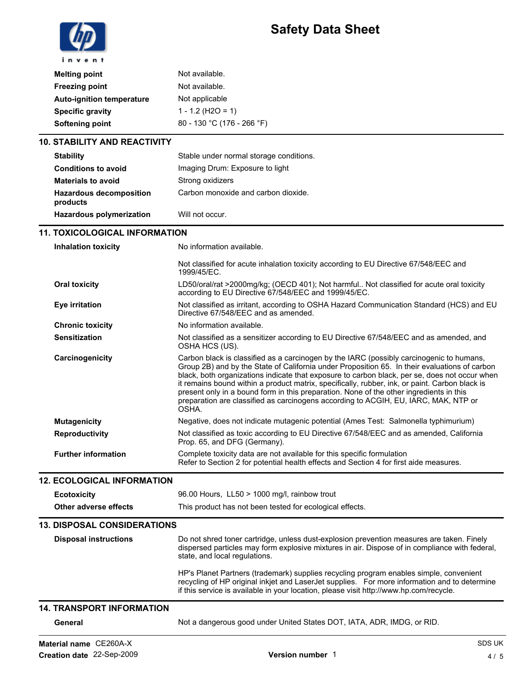## Safety Data Sheet



| <b>Melting point</b>             | Not available.             |
|----------------------------------|----------------------------|
| <b>Freezing point</b>            | Not available.             |
| <b>Auto-ignition temperature</b> | Not applicable             |
| <b>Specific gravity</b>          | $1 - 1.2$ (H2O = 1)        |
| Softening point                  | 80 - 130 °C (176 - 266 °F) |
|                                  |                            |

### 10. STABILITY AND REACTIVITY

| <b>Stability</b>                           | Stable under normal storage conditions. |
|--------------------------------------------|-----------------------------------------|
| <b>Conditions to avoid</b>                 | Imaging Drum: Exposure to light         |
| <b>Materials to avoid</b>                  | Strong oxidizers                        |
| <b>Hazardous decomposition</b><br>products | Carbon monoxide and carbon dioxide.     |
| <b>Hazardous polymerization</b>            | Will not occur.                         |

### 11. TOXICOLOGICAL INFORMATION

| <b>Inhalation toxicity</b>         | No information available.                                                                                                                                                                                                                                                                                                                                                                                                                                                                                                                                                               |
|------------------------------------|-----------------------------------------------------------------------------------------------------------------------------------------------------------------------------------------------------------------------------------------------------------------------------------------------------------------------------------------------------------------------------------------------------------------------------------------------------------------------------------------------------------------------------------------------------------------------------------------|
|                                    | Not classified for acute inhalation toxicity according to EU Directive 67/548/EEC and<br>1999/45/EC.                                                                                                                                                                                                                                                                                                                                                                                                                                                                                    |
| <b>Oral toxicity</b>               | LD50/oral/rat >2000mg/kg; (OECD 401); Not harmful Not classified for acute oral toxicity<br>according to EU Directive 67/548/EEC and 1999/45/EC.                                                                                                                                                                                                                                                                                                                                                                                                                                        |
| <b>Eye irritation</b>              | Not classified as irritant, according to OSHA Hazard Communication Standard (HCS) and EU<br>Directive 67/548/EEC and as amended.                                                                                                                                                                                                                                                                                                                                                                                                                                                        |
| <b>Chronic toxicity</b>            | No information available.                                                                                                                                                                                                                                                                                                                                                                                                                                                                                                                                                               |
| <b>Sensitization</b>               | Not classified as a sensitizer according to EU Directive 67/548/EEC and as amended, and<br>OSHA HCS (US).                                                                                                                                                                                                                                                                                                                                                                                                                                                                               |
| Carcinogenicity                    | Carbon black is classified as a carcinogen by the IARC (possibly carcinogenic to humans,<br>Group 2B) and by the State of California under Proposition 65. In their evaluations of carbon<br>black, both organizations indicate that exposure to carbon black, per se, does not occur when<br>it remains bound within a product matrix, specifically, rubber, ink, or paint. Carbon black is<br>present only in a bound form in this preparation. None of the other ingredients in this<br>preparation are classified as carcinogens according to ACGIH, EU, IARC, MAK, NTP or<br>OSHA. |
| <b>Mutagenicity</b>                | Negative, does not indicate mutagenic potential (Ames Test: Salmonella typhimurium)                                                                                                                                                                                                                                                                                                                                                                                                                                                                                                     |
| Reproductivity                     | Not classified as toxic according to EU Directive 67/548/EEC and as amended, California<br>Prop. 65, and DFG (Germany).                                                                                                                                                                                                                                                                                                                                                                                                                                                                 |
| <b>Further information</b>         | Complete toxicity data are not available for this specific formulation<br>Refer to Section 2 for potential health effects and Section 4 for first aide measures.                                                                                                                                                                                                                                                                                                                                                                                                                        |
| <b>12. ECOLOGICAL INFORMATION</b>  |                                                                                                                                                                                                                                                                                                                                                                                                                                                                                                                                                                                         |
| <b>Ecotoxicity</b>                 | 96.00 Hours, LL50 > 1000 mg/l, rainbow trout                                                                                                                                                                                                                                                                                                                                                                                                                                                                                                                                            |
| Other adverse effects              | This product has not been tested for ecological effects.                                                                                                                                                                                                                                                                                                                                                                                                                                                                                                                                |
| <b>13. DISPOSAL CONSIDERATIONS</b> |                                                                                                                                                                                                                                                                                                                                                                                                                                                                                                                                                                                         |
| <b>Disposal instructions</b>       | Do not shred toner cartridge, unless dust-explosion prevention measures are taken. Finely<br>dispersed particles may form explosive mixtures in air. Dispose of in compliance with federal,<br>state, and local regulations.                                                                                                                                                                                                                                                                                                                                                            |
|                                    | HP's Planet Partners (trademark) supplies recycling program enables simple, convenient<br>recycling of HP original inkjet and LaserJet supplies. For more information and to determine<br>if this service is available in your location, please visit http://www.hp.com/recycle.                                                                                                                                                                                                                                                                                                        |
| <b>14. TRANSPORT INFORMATION</b>   |                                                                                                                                                                                                                                                                                                                                                                                                                                                                                                                                                                                         |
| General                            | Not a dangerous good under United States DOT, IATA, ADR, IMDG, or RID.                                                                                                                                                                                                                                                                                                                                                                                                                                                                                                                  |